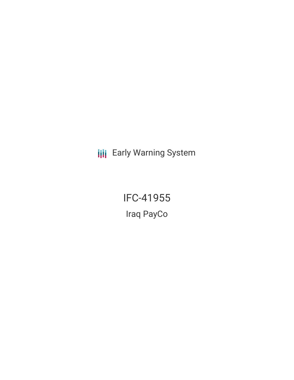**III** Early Warning System

IFC-41955 Iraq PayCo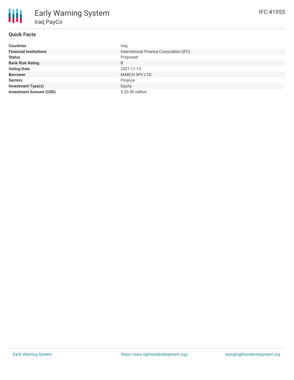# **Quick Facts**

| <b>Countries</b>               | Iraq                                    |
|--------------------------------|-----------------------------------------|
| <b>Financial Institutions</b>  | International Finance Corporation (IFC) |
| <b>Status</b>                  | Proposed                                |
| <b>Bank Risk Rating</b>        | B                                       |
| <b>Voting Date</b>             | 2021-11-15                              |
| <b>Borrower</b>                | <b>MARCH SPV LTD</b>                    |
| <b>Sectors</b>                 | Finance                                 |
| <b>Investment Type(s)</b>      | Equity                                  |
| <b>Investment Amount (USD)</b> | \$20.00 million                         |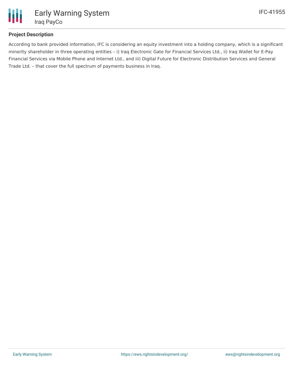

# **Project Description**

According to bank provided information, IFC is considering an equity investment into a holding company, which is a significant minority shareholder in three operating entities – i) Iraq Electronic Gate for Financial Services Ltd., ii) Iraq Wallet for E-Pay Financial Services via Mobile Phone and Internet Ltd., and iii) Digital Future for Electronic Distribution Services and General Trade Ltd. – that cover the full spectrum of payments business in Iraq.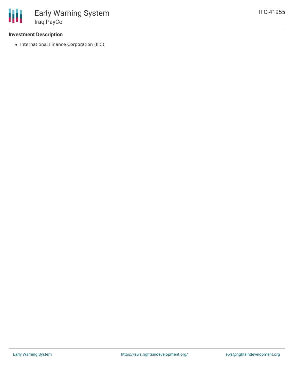## **Investment Description**

• International Finance Corporation (IFC)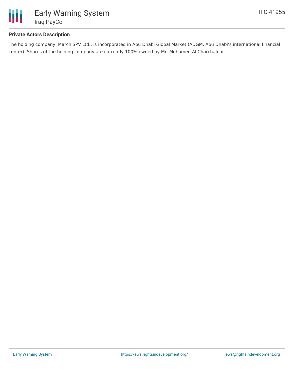

## **Private Actors Description**

The holding company, March SPV Ltd., is incorporated in Abu Dhabi Global Market (ADGM, Abu Dhabi's international financial center). Shares of the holding company are currently 100% owned by Mr. Mohamed Al Charchafchi.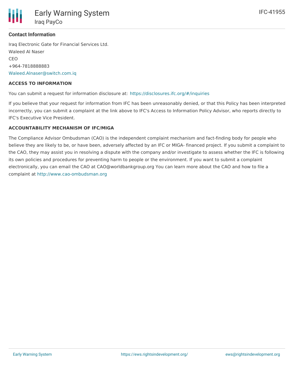

### **Contact Information**

Iraq Electronic Gate for Financial Services Ltd. Waleed Al Naser CEO +964-7818888883 [Waleed.Alnaser@switch.com.iq](mailto:Waleed.Alnaser@switch.com.iq)

#### **ACCESS TO INFORMATION**

You can submit a request for information disclosure at: <https://disclosures.ifc.org/#/inquiries>

If you believe that your request for information from IFC has been unreasonably denied, or that this Policy has been interpreted incorrectly, you can submit a complaint at the link above to IFC's Access to Information Policy Advisor, who reports directly to IFC's Executive Vice President.

#### **ACCOUNTABILITY MECHANISM OF IFC/MIGA**

The Compliance Advisor Ombudsman (CAO) is the independent complaint mechanism and fact-finding body for people who believe they are likely to be, or have been, adversely affected by an IFC or MIGA- financed project. If you submit a complaint to the CAO, they may assist you in resolving a dispute with the company and/or investigate to assess whether the IFC is following its own policies and procedures for preventing harm to people or the environment. If you want to submit a complaint electronically, you can email the CAO at CAO@worldbankgroup.org You can learn more about the CAO and how to file a complaint at <http://www.cao-ombudsman.org>